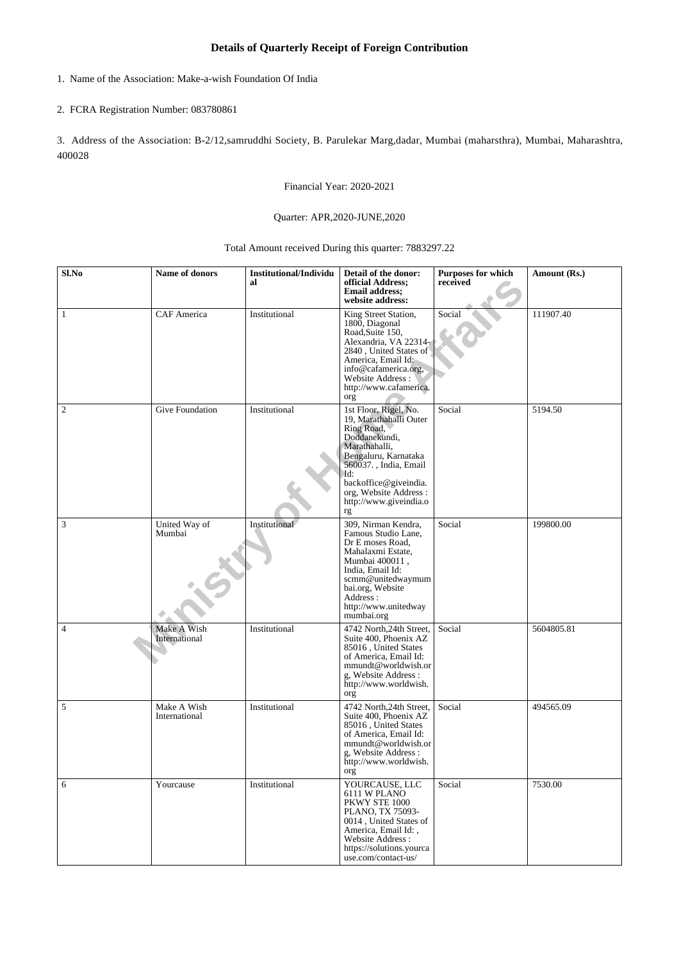## **Details of Quarterly Receipt of Foreign Contribution**

1. Name of the Association: Make-a-wish Foundation Of India

## 2. FCRA Registration Number: 083780861

3. Address of the Association: B-2/12,samruddhi Society, B. Parulekar Marg,dadar, Mumbai (maharsthra), Mumbai, Maharashtra, 400028

Financial Year: 2020-2021

## Quarter: APR,2020-JUNE,2020

Total Amount received During this quarter: 7883297.22

| Sl.No          | Name of donors               | <b>Institutional/Individu</b><br>al | Detail of the donor:<br>official Address;<br><b>Email address;</b><br>website address:                                                                                                                                                    | <b>Purposes for which</b><br>received | Amount (Rs.) |
|----------------|------------------------------|-------------------------------------|-------------------------------------------------------------------------------------------------------------------------------------------------------------------------------------------------------------------------------------------|---------------------------------------|--------------|
| $\mathbf{1}$   | CAF America                  | Institutional                       | King Street Station,<br>1800, Diagonal<br>Road, Suite 150,<br>Alexandria, VA 22314<br>2840, United States of<br>America, Email Id:<br>info@cafamerica.org,<br>Website Address:<br>http://www.cafamerica.<br>org                           | Social                                | 111907.40    |
| $\sqrt{2}$     | Give Foundation              | Institutional                       | 1st Floor, Rigel, No.<br>19, Marathahalli Outer<br>Ring Road,<br>Doddanekundi,<br>Marathahalli,<br>Bengaluru, Karnataka<br>560037., India, Email<br>Id:<br>backoffice@giveindia.<br>org, Website Address:<br>http://www.giveindia.o<br>rg | Social                                | 5194.50      |
| $\mathfrak{Z}$ | United Way of<br>Mumbai      | Institutional                       | 309, Nirman Kendra,<br>Famous Studio Lane,<br>Dr E moses Road,<br>Mahalaxmi Estate,<br>Mumbai 400011,<br>India, Email Id:<br>scmm@unitedwaymum<br>bai.org, Website<br>Address:<br>http://www.unitedway<br>mumbai.org                      | Social                                | 199800.00    |
| $\overline{4}$ | Make A Wish<br>International | Institutional                       | 4742 North, 24th Street,<br>Suite 400, Phoenix AZ<br>85016, United States<br>of America, Email Id:<br>mmundt@worldwish.or<br>g, Website Address :<br>http://www.worldwish.<br>org                                                         | Social                                | 5604805.81   |
| $\sqrt{5}$     | Make A Wish<br>International | Institutional                       | 4742 North, 24th Street,<br>Suite 400, Phoenix AZ<br>85016, United States<br>of America, Email Id:<br>mmundt@worldwish.or<br>g, Website Address :<br>http://www.worldwish.<br>org                                                         | Social                                | 494565.09    |
| 6              | Yourcause                    | Institutional                       | YOURCAUSE, LLC<br>6111 W PLANO<br>PKWY STE 1000<br>PLANO, TX 75093-<br>0014, United States of<br>America, Email Id:,<br>Website Address:<br>https://solutions.yourca<br>use.com/contact-us/                                               | Social                                | 7530.00      |